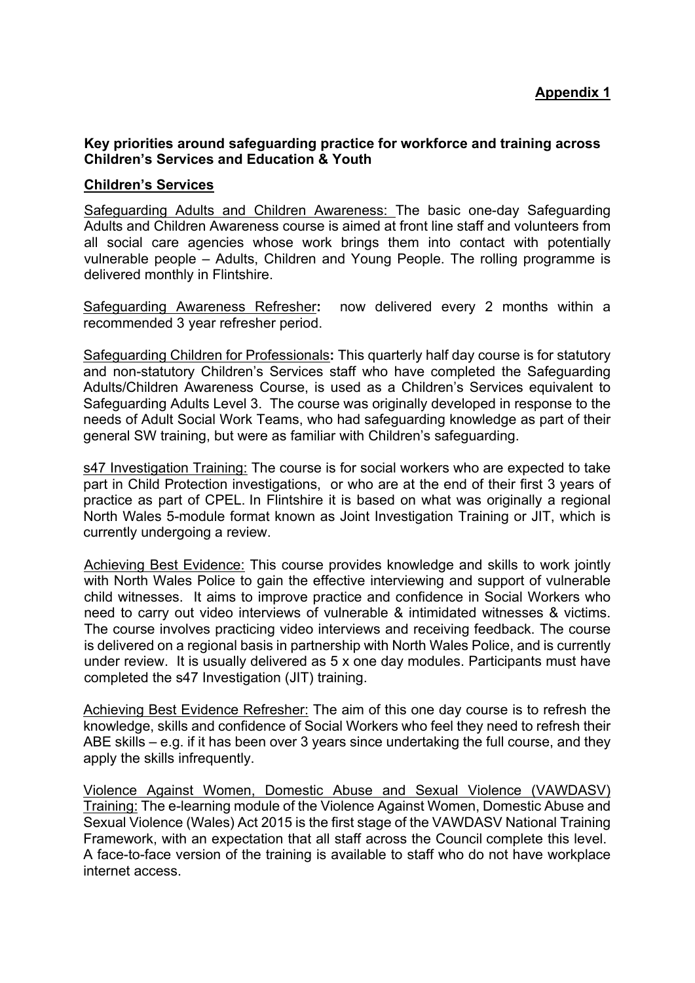## **Key priorities around safeguarding practice for workforce and training across Children's Services and Education & Youth**

## **Children's Services**

Safeguarding Adults and Children Awareness: The basic one-day Safeguarding Adults and Children Awareness course is aimed at front line staff and volunteers from all social care agencies whose work brings them into contact with potentially vulnerable people – Adults, Children and Young People. The rolling programme is delivered monthly in Flintshire.

Safeguarding Awareness Refresher**:** now delivered every 2 months within a recommended 3 year refresher period.

Safeguarding Children for Professionals**:** This quarterly half day course is for statutory and non-statutory Children's Services staff who have completed the Safeguarding Adults/Children Awareness Course, is used as a Children's Services equivalent to Safeguarding Adults Level 3. The course was originally developed in response to the needs of Adult Social Work Teams, who had safeguarding knowledge as part of their general SW training, but were as familiar with Children's safeguarding.

s47 Investigation Training: The course is for social workers who are expected to take part in Child Protection investigations, or who are at the end of their first 3 years of practice as part of CPEL. In Flintshire it is based on what was originally a regional North Wales 5-module format known as Joint Investigation Training or JIT, which is currently undergoing a review.

Achieving Best Evidence: This course provides knowledge and skills to work jointly with North Wales Police to gain the effective interviewing and support of vulnerable child witnesses. It aims to improve practice and confidence in Social Workers who need to carry out video interviews of vulnerable & intimidated witnesses & victims. The course involves practicing video interviews and receiving feedback. The course is delivered on a regional basis in partnership with North Wales Police, and is currently under review. It is usually delivered as 5 x one day modules. Participants must have completed the s47 Investigation (JIT) training.

Achieving Best Evidence Refresher: The aim of this one day course is to refresh the knowledge, skills and confidence of Social Workers who feel they need to refresh their ABE skills – e.g. if it has been over 3 years since undertaking the full course, and they apply the skills infrequently.

Violence Against Women, Domestic Abuse and Sexual Violence (VAWDASV) Training: The e-learning module of the Violence Against Women, Domestic Abuse and Sexual Violence (Wales) Act 2015 is the first stage of the VAWDASV National Training Framework, with an expectation that all staff across the Council complete this level. A face-to-face version of the training is available to staff who do not have workplace internet access.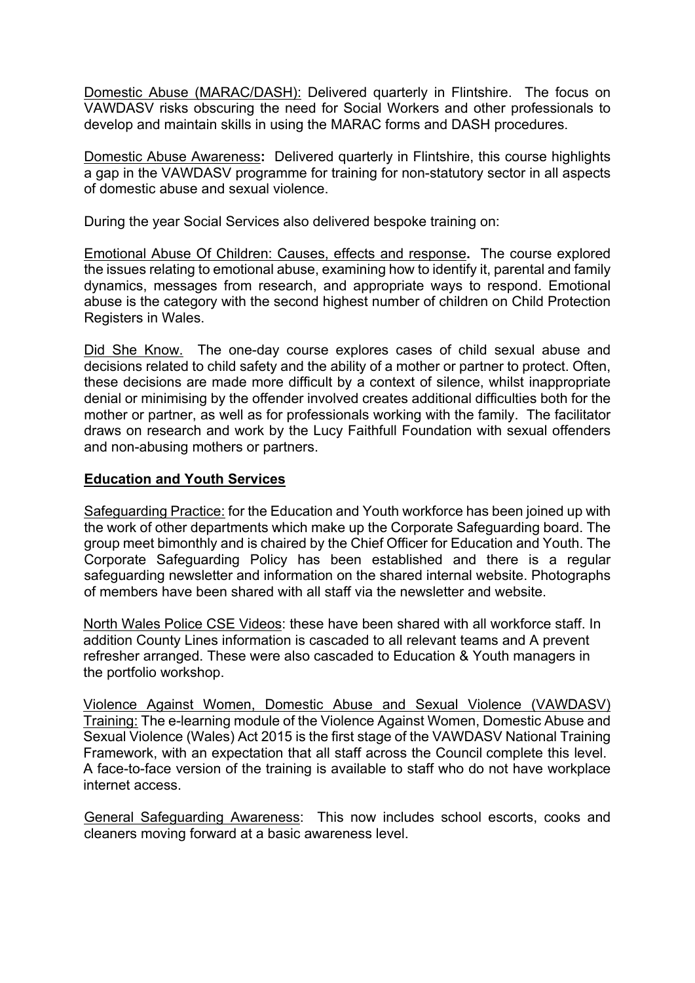Domestic Abuse (MARAC/DASH): Delivered quarterly in Flintshire. The focus on VAWDASV risks obscuring the need for Social Workers and other professionals to develop and maintain skills in using the MARAC forms and DASH procedures.

Domestic Abuse Awareness**:** Delivered quarterly in Flintshire, this course highlights a gap in the VAWDASV programme for training for non-statutory sector in all aspects of domestic abuse and sexual violence.

During the year Social Services also delivered bespoke training on:

Emotional Abuse Of Children: Causes, effects and response**.** The course explored the issues relating to emotional abuse, examining how to identify it, parental and family dynamics, messages from research, and appropriate ways to respond. Emotional abuse is the category with the second highest number of children on Child Protection Registers in Wales.

Did She Know. The one-day course explores cases of child sexual abuse and decisions related to child safety and the ability of a mother or partner to protect. Often, these decisions are made more difficult by a context of silence, whilst inappropriate denial or minimising by the offender involved creates additional difficulties both for the mother or partner, as well as for professionals working with the family. The facilitator draws on research and work by the Lucy Faithfull Foundation with sexual offenders and non-abusing mothers or partners.

## **Education and Youth Services**

Safeguarding Practice: for the Education and Youth workforce has been joined up with the work of other departments which make up the Corporate Safeguarding board. The group meet bimonthly and is chaired by the Chief Officer for Education and Youth. The Corporate Safeguarding Policy has been established and there is a regular safeguarding newsletter and information on the shared internal website. Photographs of members have been shared with all staff via the newsletter and website.

North Wales Police CSE Videos: these have been shared with all workforce staff. In addition County Lines information is cascaded to all relevant teams and A prevent refresher arranged. These were also cascaded to Education & Youth managers in the portfolio workshop.

Violence Against Women, Domestic Abuse and Sexual Violence (VAWDASV) Training: The e-learning module of the Violence Against Women, Domestic Abuse and Sexual Violence (Wales) Act 2015 is the first stage of the VAWDASV National Training Framework, with an expectation that all staff across the Council complete this level. A face-to-face version of the training is available to staff who do not have workplace internet access.

General Safeguarding Awareness: This now includes school escorts, cooks and cleaners moving forward at a basic awareness level.